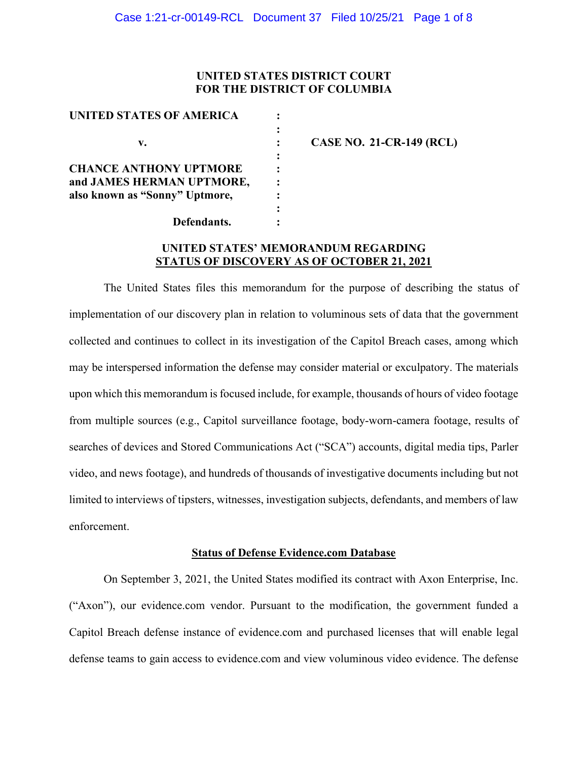### **UNITED STATES DISTRICT COURT FOR THE DISTRICT OF COLUMBIA**

**v. : CASE NO. 21-CR-149 (RCL)**

| UNITED STATES OF AMERICA       |          |
|--------------------------------|----------|
|                                |          |
| v.                             | CASE NO. |
|                                |          |
| <b>CHANCE ANTHONY UPTMORE</b>  |          |
| and JAMES HERMAN UPTMORE,      |          |
| also known as "Sonny" Uptmore, |          |
|                                |          |
| Defendants.                    |          |

## **UNITED STATES' MEMORANDUM REGARDING STATUS OF DISCOVERY AS OF OCTOBER 21, 2021**

The United States files this memorandum for the purpose of describing the status of implementation of our discovery plan in relation to voluminous sets of data that the government collected and continues to collect in its investigation of the Capitol Breach cases, among which may be interspersed information the defense may consider material or exculpatory. The materials upon which this memorandum is focused include, for example, thousands of hours of video footage from multiple sources (e.g., Capitol surveillance footage, body-worn-camera footage, results of searches of devices and Stored Communications Act ("SCA") accounts, digital media tips, Parler video, and news footage), and hundreds of thousands of investigative documents including but not limited to interviews of tipsters, witnesses, investigation subjects, defendants, and members of law enforcement.

#### **Status of Defense Evidence.com Database**

On September 3, 2021, the United States modified its contract with Axon Enterprise, Inc. ("Axon"), our evidence.com vendor. Pursuant to the modification, the government funded a Capitol Breach defense instance of evidence.com and purchased licenses that will enable legal defense teams to gain access to evidence.com and view voluminous video evidence. The defense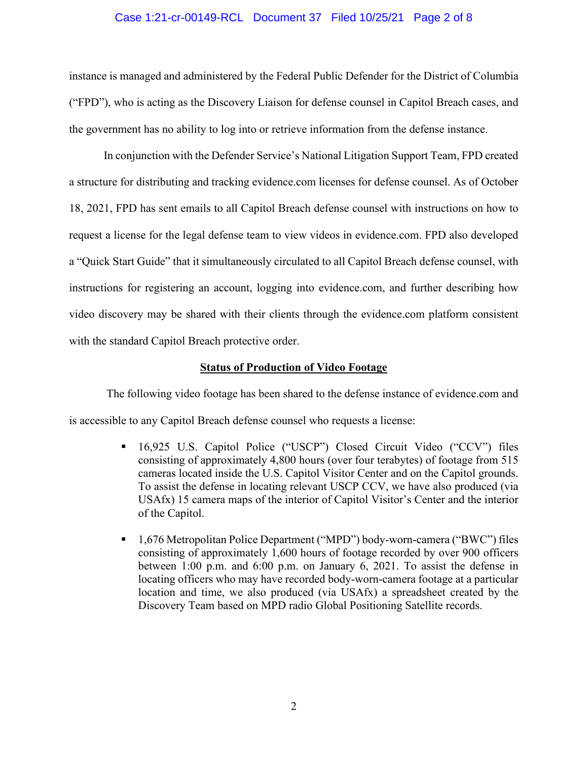### Case 1:21-cr-00149-RCL Document 37 Filed 10/25/21 Page 2 of 8

instance is managed and administered by the Federal Public Defender for the District of Columbia ("FPD"), who is acting as the Discovery Liaison for defense counsel in Capitol Breach cases, and the government has no ability to log into or retrieve information from the defense instance.

In conjunction with the Defender Service's National Litigation Support Team, FPD created a structure for distributing and tracking evidence.com licenses for defense counsel. As of October 18, 2021, FPD has sent emails to all Capitol Breach defense counsel with instructions on how to request a license for the legal defense team to view videos in evidence.com. FPD also developed a "Quick Start Guide" that it simultaneously circulated to all Capitol Breach defense counsel, with instructions for registering an account, logging into evidence.com, and further describing how video discovery may be shared with their clients through the evidence.com platform consistent with the standard Capitol Breach protective order.

### **Status of Production of Video Footage**

The following video footage has been shared to the defense instance of evidence.com and is accessible to any Capitol Breach defense counsel who requests a license:

- 16,925 U.S. Capitol Police ("USCP") Closed Circuit Video ("CCV") files consisting of approximately 4,800 hours (over four terabytes) of footage from 515 cameras located inside the U.S. Capitol Visitor Center and on the Capitol grounds. To assist the defense in locating relevant USCP CCV, we have also produced (via USAfx) 15 camera maps of the interior of Capitol Visitor's Center and the interior of the Capitol.
- 1,676 Metropolitan Police Department ("MPD") body-worn-camera ("BWC") files consisting of approximately 1,600 hours of footage recorded by over 900 officers between 1:00 p.m. and 6:00 p.m. on January 6, 2021. To assist the defense in locating officers who may have recorded body-worn-camera footage at a particular location and time, we also produced (via USAfx) a spreadsheet created by the Discovery Team based on MPD radio Global Positioning Satellite records.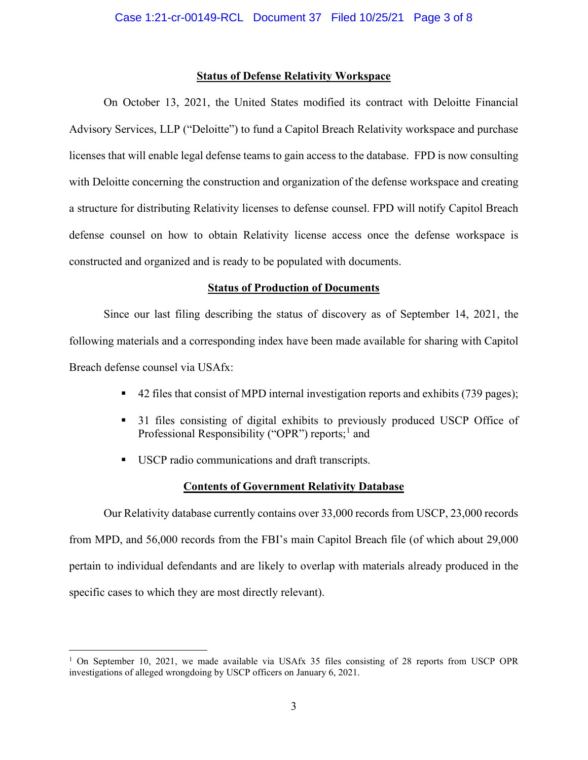#### **Status of Defense Relativity Workspace**

On October 13, 2021, the United States modified its contract with Deloitte Financial Advisory Services, LLP ("Deloitte") to fund a Capitol Breach Relativity workspace and purchase licenses that will enable legal defense teams to gain access to the database. FPD is now consulting with Deloitte concerning the construction and organization of the defense workspace and creating a structure for distributing Relativity licenses to defense counsel. FPD will notify Capitol Breach defense counsel on how to obtain Relativity license access once the defense workspace is constructed and organized and is ready to be populated with documents.

### **Status of Production of Documents**

Since our last filing describing the status of discovery as of September 14, 2021, the following materials and a corresponding index have been made available for sharing with Capitol Breach defense counsel via USAfx:

- 42 files that consist of MPD internal investigation reports and exhibits (739 pages);
- 31 files consisting of digital exhibits to previously produced USCP Office of Professional Responsibility ("OPR") reports;<sup>1</sup> and
- USCP radio communications and draft transcripts.

### **Contents of Government Relativity Database**

Our Relativity database currently contains over 33,000 records from USCP, 23,000 records from MPD, and 56,000 records from the FBI's main Capitol Breach file (of which about 29,000 pertain to individual defendants and are likely to overlap with materials already produced in the specific cases to which they are most directly relevant).

<sup>&</sup>lt;sup>1</sup> On September 10, 2021, we made available via USAfx 35 files consisting of 28 reports from USCP OPR investigations of alleged wrongdoing by USCP officers on January 6, 2021.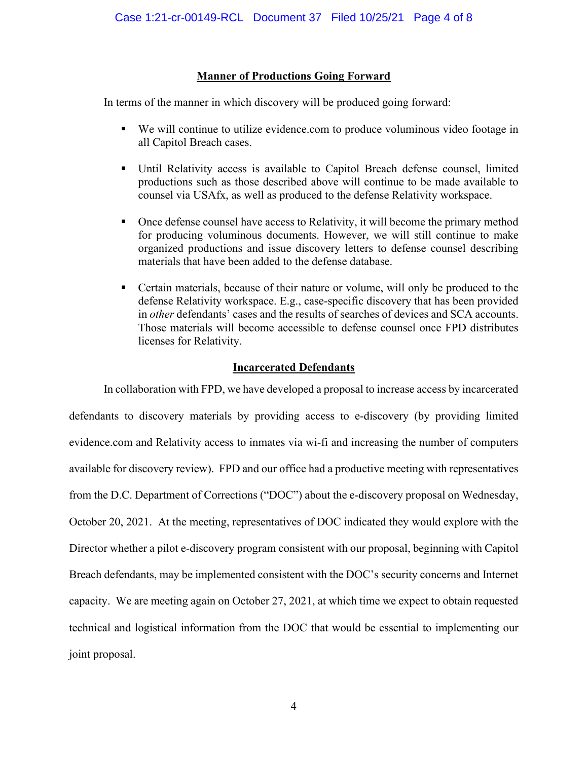## **Manner of Productions Going Forward**

In terms of the manner in which discovery will be produced going forward:

- We will continue to utilize evidence.com to produce voluminous video footage in all Capitol Breach cases.
- Until Relativity access is available to Capitol Breach defense counsel, limited productions such as those described above will continue to be made available to counsel via USAfx, as well as produced to the defense Relativity workspace.
- Once defense counsel have access to Relativity, it will become the primary method for producing voluminous documents. However, we will still continue to make organized productions and issue discovery letters to defense counsel describing materials that have been added to the defense database.
- Certain materials, because of their nature or volume, will only be produced to the defense Relativity workspace. E.g., case-specific discovery that has been provided in *other* defendants' cases and the results of searches of devices and SCA accounts. Those materials will become accessible to defense counsel once FPD distributes licenses for Relativity.

### **Incarcerated Defendants**

In collaboration with FPD, we have developed a proposal to increase access by incarcerated defendants to discovery materials by providing access to e-discovery (by providing limited evidence.com and Relativity access to inmates via wi-fi and increasing the number of computers available for discovery review). FPD and our office had a productive meeting with representatives from the D.C. Department of Corrections ("DOC") about the e-discovery proposal on Wednesday, October 20, 2021. At the meeting, representatives of DOC indicated they would explore with the Director whether a pilot e-discovery program consistent with our proposal, beginning with Capitol Breach defendants, may be implemented consistent with the DOC's security concerns and Internet capacity. We are meeting again on October 27, 2021, at which time we expect to obtain requested technical and logistical information from the DOC that would be essential to implementing our joint proposal.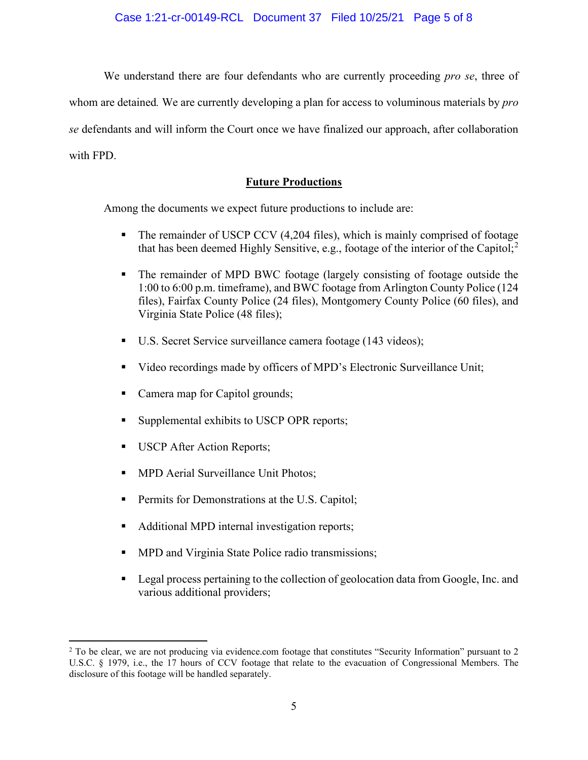We understand there are four defendants who are currently proceeding *pro se*, three of whom are detained*.* We are currently developing a plan for access to voluminous materials by *pro se* defendants and will inform the Court once we have finalized our approach, after collaboration with FPD.

# **Future Productions**

Among the documents we expect future productions to include are:

- The remainder of USCP CCV (4,204 files), which is mainly comprised of footage that has been deemed Highly Sensitive, e.g., footage of the interior of the Capitol;<sup>2</sup>
- The remainder of MPD BWC footage (largely consisting of footage outside the 1:00 to 6:00 p.m. timeframe), and BWC footage from Arlington County Police (124 files), Fairfax County Police (24 files), Montgomery County Police (60 files), and Virginia State Police (48 files);
- U.S. Secret Service surveillance camera footage (143 videos);
- Video recordings made by officers of MPD's Electronic Surveillance Unit;
- Camera map for Capitol grounds;
- Supplemental exhibits to USCP OPR reports;
- **USCP After Action Reports;**
- **MPD Aerial Surveillance Unit Photos;**
- **Permits for Demonstrations at the U.S. Capitol;**
- Additional MPD internal investigation reports;
- **MPD and Virginia State Police radio transmissions;**
- **Legal process pertaining to the collection of geolocation data from Google, Inc. and** various additional providers;

<sup>&</sup>lt;sup>2</sup> To be clear, we are not producing via evidence.com footage that constitutes "Security Information" pursuant to 2 U.S.C. § 1979, i.e., the 17 hours of CCV footage that relate to the evacuation of Congressional Members. The disclosure of this footage will be handled separately.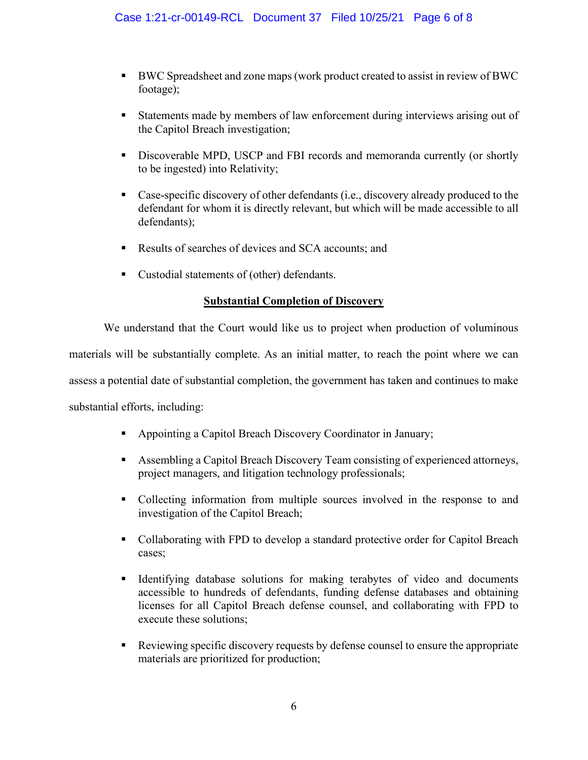- BWC Spreadsheet and zone maps (work product created to assist in review of BWC footage);
- Statements made by members of law enforcement during interviews arising out of the Capitol Breach investigation;
- Discoverable MPD, USCP and FBI records and memoranda currently (or shortly to be ingested) into Relativity;
- Case-specific discovery of other defendants (i.e., discovery already produced to the defendant for whom it is directly relevant, but which will be made accessible to all defendants);
- Results of searches of devices and SCA accounts; and
- Custodial statements of (other) defendants.

## **Substantial Completion of Discovery**

We understand that the Court would like us to project when production of voluminous materials will be substantially complete. As an initial matter, to reach the point where we can assess a potential date of substantial completion, the government has taken and continues to make

substantial efforts, including:

- Appointing a Capitol Breach Discovery Coordinator in January;
- Assembling a Capitol Breach Discovery Team consisting of experienced attorneys, project managers, and litigation technology professionals;
- Collecting information from multiple sources involved in the response to and investigation of the Capitol Breach;
- Collaborating with FPD to develop a standard protective order for Capitol Breach cases;
- Identifying database solutions for making terabytes of video and documents accessible to hundreds of defendants, funding defense databases and obtaining licenses for all Capitol Breach defense counsel, and collaborating with FPD to execute these solutions;
- Reviewing specific discovery requests by defense counsel to ensure the appropriate materials are prioritized for production;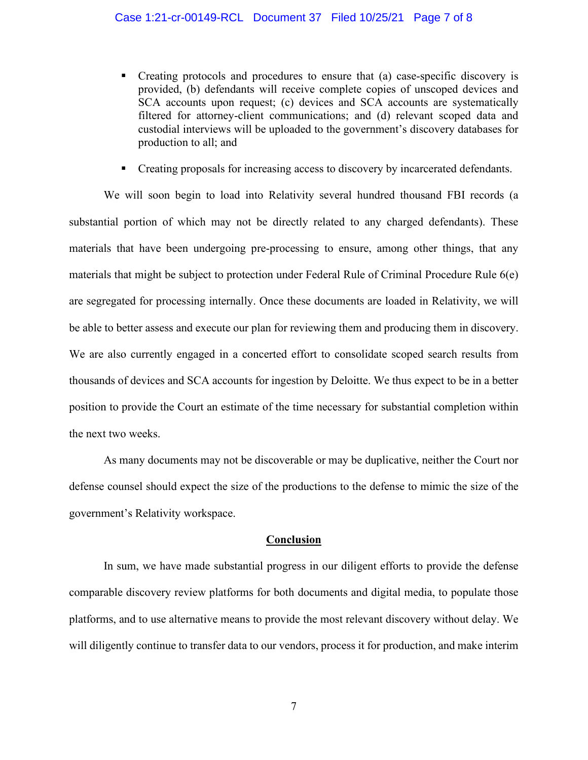- Creating protocols and procedures to ensure that (a) case-specific discovery is provided, (b) defendants will receive complete copies of unscoped devices and SCA accounts upon request; (c) devices and SCA accounts are systematically filtered for attorney-client communications; and (d) relevant scoped data and custodial interviews will be uploaded to the government's discovery databases for production to all; and
- Creating proposals for increasing access to discovery by incarcerated defendants.

We will soon begin to load into Relativity several hundred thousand FBI records (a substantial portion of which may not be directly related to any charged defendants). These materials that have been undergoing pre-processing to ensure, among other things, that any materials that might be subject to protection under Federal Rule of Criminal Procedure Rule 6(e) are segregated for processing internally. Once these documents are loaded in Relativity, we will be able to better assess and execute our plan for reviewing them and producing them in discovery. We are also currently engaged in a concerted effort to consolidate scoped search results from thousands of devices and SCA accounts for ingestion by Deloitte. We thus expect to be in a better position to provide the Court an estimate of the time necessary for substantial completion within the next two weeks.

As many documents may not be discoverable or may be duplicative, neither the Court nor defense counsel should expect the size of the productions to the defense to mimic the size of the government's Relativity workspace.

#### **Conclusion**

In sum, we have made substantial progress in our diligent efforts to provide the defense comparable discovery review platforms for both documents and digital media, to populate those platforms, and to use alternative means to provide the most relevant discovery without delay. We will diligently continue to transfer data to our vendors, process it for production, and make interim